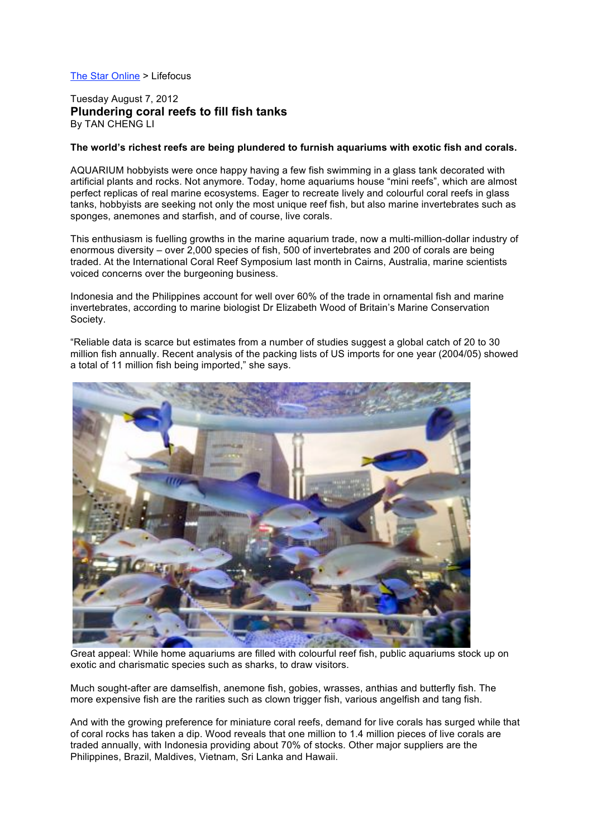## The Star Online > Lifefocus

## Tuesday August 7, 2012 **Plundering coral reefs to fill fish tanks** By TAN CHENG LI

## **The world's richest reefs are being plundered to furnish aquariums with exotic fish and corals.**

AQUARIUM hobbyists were once happy having a few fish swimming in a glass tank decorated with artificial plants and rocks. Not anymore. Today, home aquariums house "mini reefs", which are almost perfect replicas of real marine ecosystems. Eager to recreate lively and colourful coral reefs in glass tanks, hobbyists are seeking not only the most unique reef fish, but also marine invertebrates such as sponges, anemones and starfish, and of course, live corals.

This enthusiasm is fuelling growths in the marine aquarium trade, now a multi-million-dollar industry of enormous diversity – over 2,000 species of fish, 500 of invertebrates and 200 of corals are being traded. At the International Coral Reef Symposium last month in Cairns, Australia, marine scientists voiced concerns over the burgeoning business.

Indonesia and the Philippines account for well over 60% of the trade in ornamental fish and marine invertebrates, according to marine biologist Dr Elizabeth Wood of Britain's Marine Conservation Society.

"Reliable data is scarce but estimates from a number of studies suggest a global catch of 20 to 30 million fish annually. Recent analysis of the packing lists of US imports for one year (2004/05) showed a total of 11 million fish being imported," she says.



Great appeal: While home aquariums are filled with colourful reef fish, public aquariums stock up on exotic and charismatic species such as sharks, to draw visitors.

Much sought-after are damselfish, anemone fish, gobies, wrasses, anthias and butterfly fish. The more expensive fish are the rarities such as clown trigger fish, various angelfish and tang fish.

And with the growing preference for miniature coral reefs, demand for live corals has surged while that of coral rocks has taken a dip. Wood reveals that one million to 1.4 million pieces of live corals are traded annually, with Indonesia providing about 70% of stocks. Other major suppliers are the Philippines, Brazil, Maldives, Vietnam, Sri Lanka and Hawaii.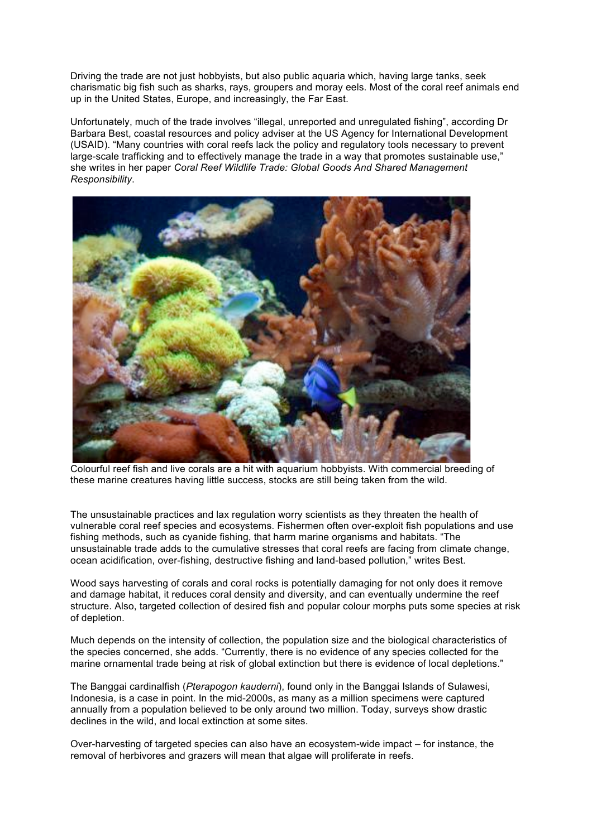Driving the trade are not just hobbyists, but also public aquaria which, having large tanks, seek charismatic big fish such as sharks, rays, groupers and moray eels. Most of the coral reef animals end up in the United States, Europe, and increasingly, the Far East.

Unfortunately, much of the trade involves "illegal, unreported and unregulated fishing", according Dr Barbara Best, coastal resources and policy adviser at the US Agency for International Development (USAID). "Many countries with coral reefs lack the policy and regulatory tools necessary to prevent large-scale trafficking and to effectively manage the trade in a way that promotes sustainable use," she writes in her paper *Coral Reef Wildlife Trade: Global Goods And Shared Management Responsibility*.



Colourful reef fish and live corals are a hit with aquarium hobbyists. With commercial breeding of these marine creatures having little success, stocks are still being taken from the wild.

The unsustainable practices and lax regulation worry scientists as they threaten the health of vulnerable coral reef species and ecosystems. Fishermen often over-exploit fish populations and use fishing methods, such as cyanide fishing, that harm marine organisms and habitats. "The unsustainable trade adds to the cumulative stresses that coral reefs are facing from climate change, ocean acidification, over-fishing, destructive fishing and land-based pollution," writes Best.

Wood says harvesting of corals and coral rocks is potentially damaging for not only does it remove and damage habitat, it reduces coral density and diversity, and can eventually undermine the reef structure. Also, targeted collection of desired fish and popular colour morphs puts some species at risk of depletion.

Much depends on the intensity of collection, the population size and the biological characteristics of the species concerned, she adds. "Currently, there is no evidence of any species collected for the marine ornamental trade being at risk of global extinction but there is evidence of local depletions."

The Banggai cardinalfish (*Pterapogon kauderni*), found only in the Banggai Islands of Sulawesi, Indonesia, is a case in point. In the mid-2000s, as many as a million specimens were captured annually from a population believed to be only around two million. Today, surveys show drastic declines in the wild, and local extinction at some sites.

Over-harvesting of targeted species can also have an ecosystem-wide impact – for instance, the removal of herbivores and grazers will mean that algae will proliferate in reefs.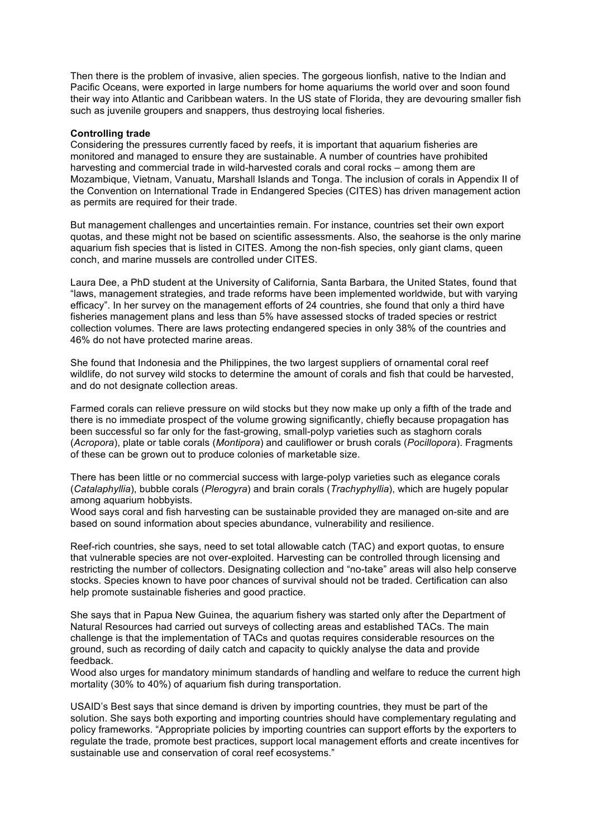Then there is the problem of invasive, alien species. The gorgeous lionfish, native to the Indian and Pacific Oceans, were exported in large numbers for home aquariums the world over and soon found their way into Atlantic and Caribbean waters. In the US state of Florida, they are devouring smaller fish such as juvenile groupers and snappers, thus destroying local fisheries.

## **Controlling trade**

Considering the pressures currently faced by reefs, it is important that aquarium fisheries are monitored and managed to ensure they are sustainable. A number of countries have prohibited harvesting and commercial trade in wild-harvested corals and coral rocks – among them are Mozambique, Vietnam, Vanuatu, Marshall Islands and Tonga. The inclusion of corals in Appendix II of the Convention on International Trade in Endangered Species (CITES) has driven management action as permits are required for their trade.

But management challenges and uncertainties remain. For instance, countries set their own export quotas, and these might not be based on scientific assessments. Also, the seahorse is the only marine aquarium fish species that is listed in CITES. Among the non-fish species, only giant clams, queen conch, and marine mussels are controlled under CITES.

Laura Dee, a PhD student at the University of California, Santa Barbara, the United States, found that "laws, management strategies, and trade reforms have been implemented worldwide, but with varying efficacy". In her survey on the management efforts of 24 countries, she found that only a third have fisheries management plans and less than 5% have assessed stocks of traded species or restrict collection volumes. There are laws protecting endangered species in only 38% of the countries and 46% do not have protected marine areas.

She found that Indonesia and the Philippines, the two largest suppliers of ornamental coral reef wildlife, do not survey wild stocks to determine the amount of corals and fish that could be harvested, and do not designate collection areas.

Farmed corals can relieve pressure on wild stocks but they now make up only a fifth of the trade and there is no immediate prospect of the volume growing significantly, chiefly because propagation has been successful so far only for the fast-growing, small-polyp varieties such as staghorn corals (*Acropora*), plate or table corals (*Montipora*) and cauliflower or brush corals (*Pocillopora*). Fragments of these can be grown out to produce colonies of marketable size.

There has been little or no commercial success with large-polyp varieties such as elegance corals (*Catalaphyllia*), bubble corals (*Plerogyra*) and brain corals (*Trachyphyllia*), which are hugely popular among aquarium hobbyists.

Wood says coral and fish harvesting can be sustainable provided they are managed on-site and are based on sound information about species abundance, vulnerability and resilience.

Reef-rich countries, she says, need to set total allowable catch (TAC) and export quotas, to ensure that vulnerable species are not over-exploited. Harvesting can be controlled through licensing and restricting the number of collectors. Designating collection and "no-take" areas will also help conserve stocks. Species known to have poor chances of survival should not be traded. Certification can also help promote sustainable fisheries and good practice.

She says that in Papua New Guinea, the aquarium fishery was started only after the Department of Natural Resources had carried out surveys of collecting areas and established TACs. The main challenge is that the implementation of TACs and quotas requires considerable resources on the ground, such as recording of daily catch and capacity to quickly analyse the data and provide feedback.

Wood also urges for mandatory minimum standards of handling and welfare to reduce the current high mortality (30% to 40%) of aquarium fish during transportation.

USAID's Best says that since demand is driven by importing countries, they must be part of the solution. She says both exporting and importing countries should have complementary regulating and policy frameworks. "Appropriate policies by importing countries can support efforts by the exporters to regulate the trade, promote best practices, support local management efforts and create incentives for sustainable use and conservation of coral reef ecosystems."